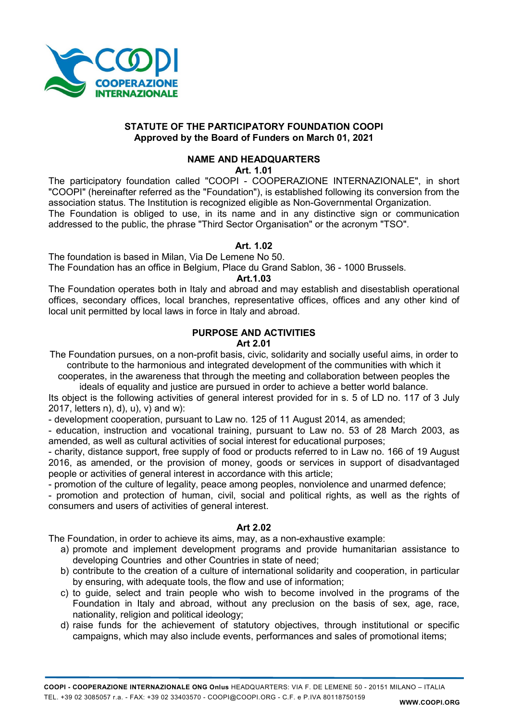

# STATUTE OF THE PARTICIPATORY FOUNDATION COOPI Approved by the Board of Funders on March 01, 2021

# NAME AND HEADQUARTERS

Art. 1.01

The participatory foundation called "COOPI - COOPERAZIONE INTERNAZIONALE", in short "COOPI" (hereinafter referred as the "Foundation"), is established following its conversion from the association status. The Institution is recognized eligible as Non-Governmental Organization. The Foundation is obliged to use, in its name and in any distinctive sign or communication addressed to the public, the phrase "Third Sector Organisation" or the acronym "TSO".

# Art. 1.02

The foundation is based in Milan, Via De Lemene No 50.

The Foundation has an office in Belgium, Place du Grand Sablon, 36 - 1000 Brussels.

Art.1.03

The Foundation operates both in Italy and abroad and may establish and disestablish operational offices, secondary offices, local branches, representative offices, offices and any other kind of local unit permitted by local laws in force in Italy and abroad.

# PURPOSE AND ACTIVITIES

# Art 2.01

The Foundation pursues, on a non-profit basis, civic, solidarity and socially useful aims, in order to contribute to the harmonious and integrated development of the communities with which it

cooperates, in the awareness that through the meeting and collaboration between peoples the ideals of equality and justice are pursued in order to achieve a better world balance.

Its object is the following activities of general interest provided for in s. 5 of LD no. 117 of 3 July 2017, letters n), d), u), v) and w):

- development cooperation, pursuant to Law no. 125 of 11 August 2014, as amended;

- education, instruction and vocational training, pursuant to Law no. 53 of 28 March 2003, as amended, as well as cultural activities of social interest for educational purposes;

- charity, distance support, free supply of food or products referred to in Law no. 166 of 19 August 2016, as amended, or the provision of money, goods or services in support of disadvantaged people or activities of general interest in accordance with this article;

- promotion of the culture of legality, peace among peoples, nonviolence and unarmed defence;

- promotion and protection of human, civil, social and political rights, as well as the rights of consumers and users of activities of general interest.

# Art 2.02

The Foundation, in order to achieve its aims, may, as a non-exhaustive example:

a) promote and implement development programs and provide humanitarian assistance to developing Countries and other Countries in state of need;

- b) contribute to the creation of a culture of international solidarity and cooperation, in particular by ensuring, with adequate tools, the flow and use of information;
- c) to guide, select and train people who wish to become involved in the programs of the Foundation in Italy and abroad, without any preclusion on the basis of sex, age, race, nationality, religion and political ideology;
- d) raise funds for the achievement of statutory objectives, through institutional or specific campaigns, which may also include events, performances and sales of promotional items;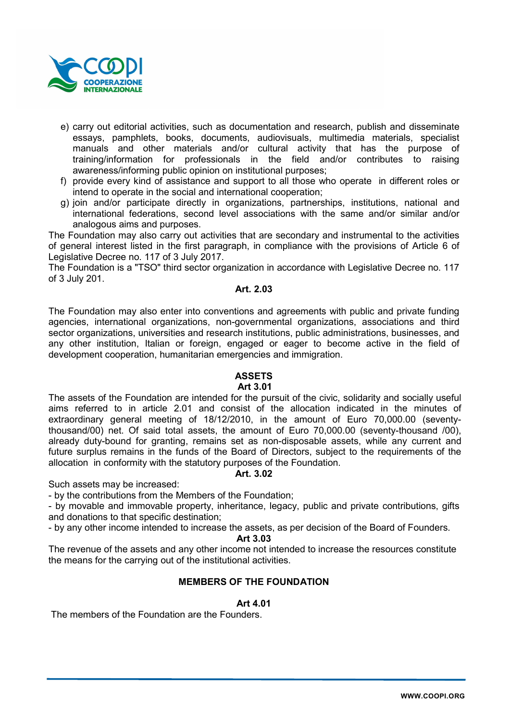

- e) carry out editorial activities, such as documentation and research, publish and disseminate essays, pamphlets, books, documents, audiovisuals, multimedia materials, specialist manuals and other materials and/or cultural activity that has the purpose of training/information for professionals in the field and/or contributes to raising awareness/informing public opinion on institutional purposes;
- f) provide every kind of assistance and support to all those who operate in different roles or intend to operate in the social and international cooperation;
- g) join and/or participate directly in organizations, partnerships, institutions, national and international federations, second level associations with the same and/or similar and/or analogous aims and purposes.

The Foundation may also carry out activities that are secondary and instrumental to the activities of general interest listed in the first paragraph, in compliance with the provisions of Article 6 of Legislative Decree no. 117 of 3 July 2017.

The Foundation is a "TSO" third sector organization in accordance with Legislative Decree no. 117 of 3 July 201.

# Art. 2.03

The Foundation may also enter into conventions and agreements with public and private funding agencies, international organizations, non-governmental organizations, associations and third sector organizations, universities and research institutions, public administrations, businesses, and any other institution, Italian or foreign, engaged or eager to become active in the field of development cooperation, humanitarian emergencies and immigration.

# ASSETS

# Art 3.01

The assets of the Foundation are intended for the pursuit of the civic, solidarity and socially useful aims referred to in article 2.01 and consist of the allocation indicated in the minutes of extraordinary general meeting of 18/12/2010, in the amount of Euro 70,000.00 (seventythousand/00) net. Of said total assets, the amount of Euro 70,000.00 (seventy-thousand /00), already duty-bound for granting, remains set as non-disposable assets, while any current and future surplus remains in the funds of the Board of Directors, subject to the requirements of the allocation in conformity with the statutory purposes of the Foundation.

# Art. 3.02

Such assets may be increased:

- by the contributions from the Members of the Foundation;

- by movable and immovable property, inheritance, legacy, public and private contributions, gifts and donations to that specific destination;

- by any other income intended to increase the assets, as per decision of the Board of Founders.

# Art 3.03

The revenue of the assets and any other income not intended to increase the resources constitute the means for the carrying out of the institutional activities.

# MEMBERS OF THE FOUNDATION

# Art 4.01

The members of the Foundation are the Founders.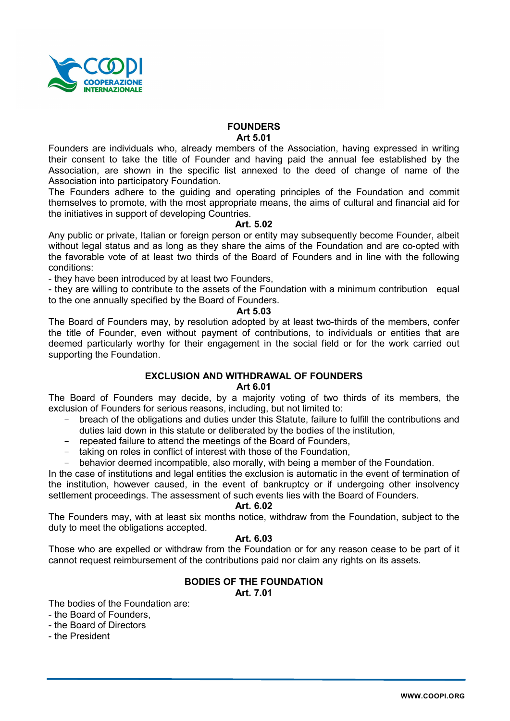

# **FOUNDERS** Art 5.01

Founders are individuals who, already members of the Association, having expressed in writing their consent to take the title of Founder and having paid the annual fee established by the Association, are shown in the specific list annexed to the deed of change of name of the Association into participatory Foundation.

The Founders adhere to the guiding and operating principles of the Foundation and commit themselves to promote, with the most appropriate means, the aims of cultural and financial aid for the initiatives in support of developing Countries.

# Art. 5.02

Any public or private, Italian or foreign person or entity may subsequently become Founder, albeit without legal status and as long as they share the aims of the Foundation and are co-opted with the favorable vote of at least two thirds of the Board of Founders and in line with the following conditions:

- they have been introduced by at least two Founders,

- they are willing to contribute to the assets of the Foundation with a minimum contribution equal to the one annually specified by the Board of Founders.

# Art 5.03

The Board of Founders may, by resolution adopted by at least two-thirds of the members, confer the title of Founder, even without payment of contributions, to individuals or entities that are deemed particularly worthy for their engagement in the social field or for the work carried out supporting the Foundation.

# EXCLUSION AND WITHDRAWAL OF FOUNDERS

# Art 6.01

The Board of Founders may decide, by a majority voting of two thirds of its members, the exclusion of Founders for serious reasons, including, but not limited to:

- breach of the obligations and duties under this Statute, failure to fulfill the contributions and duties laid down in this statute or deliberated by the bodies of the institution,
- repeated failure to attend the meetings of the Board of Founders,
- taking on roles in conflict of interest with those of the Foundation,

behavior deemed incompatible, also morally, with being a member of the Foundation.

In the case of institutions and legal entities the exclusion is automatic in the event of termination of the institution, however caused, in the event of bankruptcy or if undergoing other insolvency settlement proceedings. The assessment of such events lies with the Board of Founders.

# Art. 6.02

The Founders may, with at least six months notice, withdraw from the Foundation, subject to the duty to meet the obligations accepted.

# Art. 6.03

Those who are expelled or withdraw from the Foundation or for any reason cease to be part of it cannot request reimbursement of the contributions paid nor claim any rights on its assets.

# BODIES OF THE FOUNDATION

Art. 7.01

The bodies of the Foundation are:

- the Board of Founders,
- the Board of Directors
- the President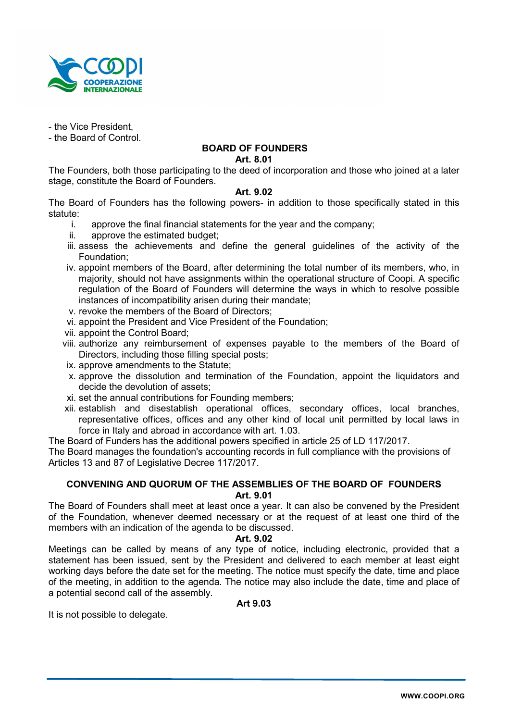

- the Vice President,

- the Board of Control.

# BOARD OF FOUNDERS

Art. 8.01

The Founders, both those participating to the deed of incorporation and those who joined at a later stage, constitute the Board of Founders.

# Art. 9.02

The Board of Founders has the following powers- in addition to those specifically stated in this statute:

- i. approve the final financial statements for the year and the company;
- ii. approve the estimated budget;
- iii. assess the achievements and define the general guidelines of the activity of the Foundation;
- iv. appoint members of the Board, after determining the total number of its members, who, in majority, should not have assignments within the operational structure of Coopi. A specific regulation of the Board of Founders will determine the ways in which to resolve possible instances of incompatibility arisen during their mandate;
- v. revoke the members of the Board of Directors;
- vi. appoint the President and Vice President of the Foundation;
- vii. appoint the Control Board;
- viii. authorize any reimbursement of expenses payable to the members of the Board of Directors, including those filling special posts;
- ix. approve amendments to the Statute;
- x. approve the dissolution and termination of the Foundation, appoint the liquidators and decide the devolution of assets;
- xi. set the annual contributions for Founding members;
- xii. establish and disestablish operational offices, secondary offices, local branches, representative offices, offices and any other kind of local unit permitted by local laws in force in Italy and abroad in accordance with art. 1.03.

The Board of Funders has the additional powers specified in article 25 of LD 117/2017.

The Board manages the foundation's accounting records in full compliance with the provisions of Articles 13 and 87 of Legislative Decree 117/2017.

# CONVENING AND QUORUM OF THE ASSEMBLIES OF THE BOARD OF FOUNDERS Art. 9.01

The Board of Founders shall meet at least once a year. It can also be convened by the President of the Foundation, whenever deemed necessary or at the request of at least one third of the members with an indication of the agenda to be discussed.

# Art. 9.02

Meetings can be called by means of any type of notice, including electronic, provided that a statement has been issued, sent by the President and delivered to each member at least eight working days before the date set for the meeting. The notice must specify the date, time and place of the meeting, in addition to the agenda. The notice may also include the date, time and place of a potential second call of the assembly.

Art 9.03

It is not possible to delegate.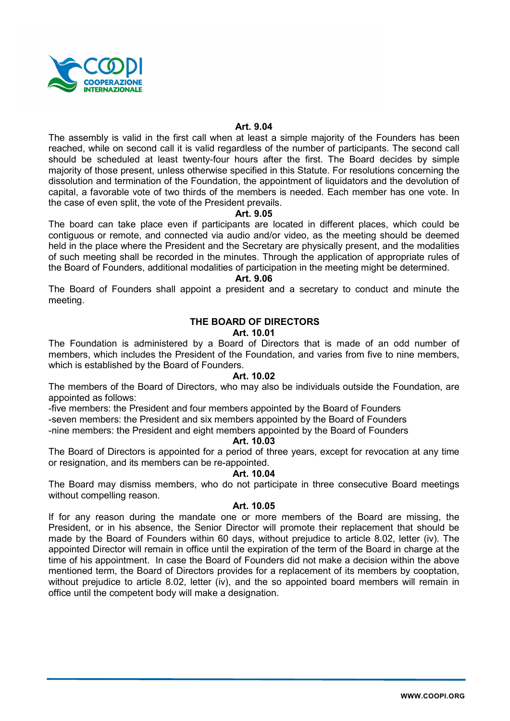

# Art. 9.04

The assembly is valid in the first call when at least a simple majority of the Founders has been reached, while on second call it is valid regardless of the number of participants. The second call should be scheduled at least twenty-four hours after the first. The Board decides by simple majority of those present, unless otherwise specified in this Statute. For resolutions concerning the dissolution and termination of the Foundation, the appointment of liquidators and the devolution of capital, a favorable vote of two thirds of the members is needed. Each member has one vote. In the case of even split, the vote of the President prevails.

#### Art. 9.05

The board can take place even if participants are located in different places, which could be contiguous or remote, and connected via audio and/or video, as the meeting should be deemed held in the place where the President and the Secretary are physically present, and the modalities of such meeting shall be recorded in the minutes. Through the application of appropriate rules of the Board of Founders, additional modalities of participation in the meeting might be determined.

#### Art. 9.06

The Board of Founders shall appoint a president and a secretary to conduct and minute the meeting.

# THE BOARD OF DIRECTORS

#### Art. 10.01

The Foundation is administered by a Board of Directors that is made of an odd number of members, which includes the President of the Foundation, and varies from five to nine members, which is established by the Board of Founders.

#### Art. 10.02

The members of the Board of Directors, who may also be individuals outside the Foundation, are appointed as follows:

-five members: the President and four members appointed by the Board of Founders

-seven members: the President and six members appointed by the Board of Founders -nine members: the President and eight members appointed by the Board of Founders

Art. 10.03

The Board of Directors is appointed for a period of three years, except for revocation at any time or resignation, and its members can be re-appointed.

# Art. 10.04

The Board may dismiss members, who do not participate in three consecutive Board meetings without compelling reason.

# Art. 10.05

If for any reason during the mandate one or more members of the Board are missing, the President, or in his absence, the Senior Director will promote their replacement that should be made by the Board of Founders within 60 days, without prejudice to article 8.02, letter (iv). The appointed Director will remain in office until the expiration of the term of the Board in charge at the time of his appointment. In case the Board of Founders did not make a decision within the above mentioned term, the Board of Directors provides for a replacement of its members by cooptation, without prejudice to article 8.02, letter (iv), and the so appointed board members will remain in office until the competent body will make a designation.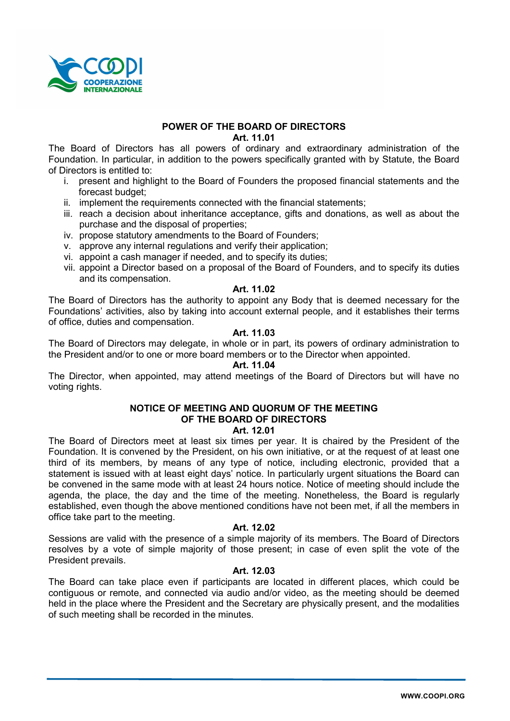

# POWER OF THE BOARD OF DIRECTORS

Art. 11.01

The Board of Directors has all powers of ordinary and extraordinary administration of the Foundation. In particular, in addition to the powers specifically granted with by Statute, the Board of Directors is entitled to:

- i. present and highlight to the Board of Founders the proposed financial statements and the forecast budget;
- ii. implement the requirements connected with the financial statements;
- iii. reach a decision about inheritance acceptance, gifts and donations, as well as about the purchase and the disposal of properties;
- iv. propose statutory amendments to the Board of Founders;
- v. approve any internal regulations and verify their application;
- vi. appoint a cash manager if needed, and to specify its duties;
- vii. appoint a Director based on a proposal of the Board of Founders, and to specify its duties and its compensation.

# Art. 11.02

The Board of Directors has the authority to appoint any Body that is deemed necessary for the Foundations' activities, also by taking into account external people, and it establishes their terms of office, duties and compensation.

# Art. 11.03

The Board of Directors may delegate, in whole or in part, its powers of ordinary administration to the President and/or to one or more board members or to the Director when appointed.

# Art. 11.04

The Director, when appointed, may attend meetings of the Board of Directors but will have no voting rights.

# NOTICE OF MEETING AND QUORUM OF THE MEETING OF THE BOARD OF DIRECTORS

# Art. 12.01

The Board of Directors meet at least six times per year. It is chaired by the President of the Foundation. It is convened by the President, on his own initiative, or at the request of at least one third of its members, by means of any type of notice, including electronic, provided that a statement is issued with at least eight days' notice. In particularly urgent situations the Board can be convened in the same mode with at least 24 hours notice. Notice of meeting should include the agenda, the place, the day and the time of the meeting. Nonetheless, the Board is regularly established, even though the above mentioned conditions have not been met, if all the members in office take part to the meeting.

# Art. 12.02

Sessions are valid with the presence of a simple majority of its members. The Board of Directors resolves by a vote of simple majority of those present; in case of even split the vote of the President prevails.

# Art. 12.03

The Board can take place even if participants are located in different places, which could be contiguous or remote, and connected via audio and/or video, as the meeting should be deemed held in the place where the President and the Secretary are physically present, and the modalities of such meeting shall be recorded in the minutes.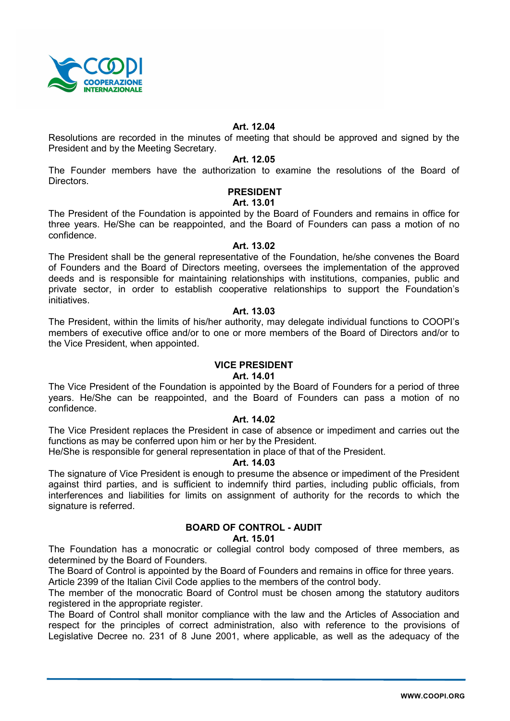

# Art. 12.04

Resolutions are recorded in the minutes of meeting that should be approved and signed by the President and by the Meeting Secretary.

# Art. 12.05

The Founder members have the authorization to examine the resolutions of the Board of Directors.

# PRESIDENT

# Art. 13.01

The President of the Foundation is appointed by the Board of Founders and remains in office for three years. He/She can be reappointed, and the Board of Founders can pass a motion of no confidence.

# Art. 13.02

The President shall be the general representative of the Foundation, he/she convenes the Board of Founders and the Board of Directors meeting, oversees the implementation of the approved deeds and is responsible for maintaining relationships with institutions, companies, public and private sector, in order to establish cooperative relationships to support the Foundation's initiatives.

#### Art. 13.03

The President, within the limits of his/her authority, may delegate individual functions to COOPI's members of executive office and/or to one or more members of the Board of Directors and/or to the Vice President, when appointed.

# VICE PRESIDENT

# Art. 14.01

The Vice President of the Foundation is appointed by the Board of Founders for a period of three years. He/She can be reappointed, and the Board of Founders can pass a motion of no confidence.

# Art. 14.02

The Vice President replaces the President in case of absence or impediment and carries out the functions as may be conferred upon him or her by the President.

He/She is responsible for general representation in place of that of the President.

### Art. 14.03

The signature of Vice President is enough to presume the absence or impediment of the President against third parties, and is sufficient to indemnify third parties, including public officials, from interferences and liabilities for limits on assignment of authority for the records to which the signature is referred.

# BOARD OF CONTROL - AUDIT

# Art. 15.01

The Foundation has a monocratic or collegial control body composed of three members, as determined by the Board of Founders.

The Board of Control is appointed by the Board of Founders and remains in office for three years. Article 2399 of the Italian Civil Code applies to the members of the control body.

The member of the monocratic Board of Control must be chosen among the statutory auditors registered in the appropriate register.

The Board of Control shall monitor compliance with the law and the Articles of Association and respect for the principles of correct administration, also with reference to the provisions of Legislative Decree no. 231 of 8 June 2001, where applicable, as well as the adequacy of the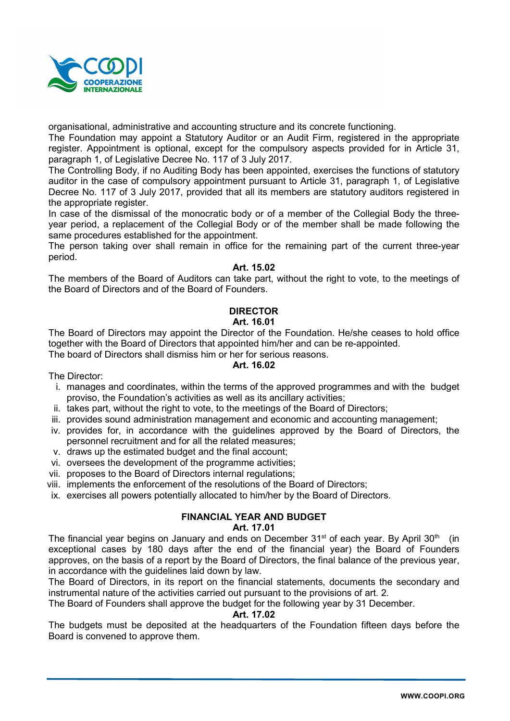

organisational, administrative and accounting structure and its concrete functioning.

The Foundation may appoint a Statutory Auditor or an Audit Firm, registered in the appropriate register. Appointment is optional, except for the compulsory aspects provided for in Article 31, paragraph 1, of Legislative Decree No. 117 of 3 July 2017.

The Controlling Body, if no Auditing Body has been appointed, exercises the functions of statutory auditor in the case of compulsory appointment pursuant to Article 31, paragraph 1, of Legislative Decree No. 117 of 3 July 2017, provided that all its members are statutory auditors registered in the appropriate register.

In case of the dismissal of the monocratic body or of a member of the Collegial Body the threeyear period, a replacement of the Collegial Body or of the member shall be made following the same procedures established for the appointment.

The person taking over shall remain in office for the remaining part of the current three-year period.

# Art. 15.02

The members of the Board of Auditors can take part, without the right to vote, to the meetings of the Board of Directors and of the Board of Founders.

# DIRECTOR

# Art. 16.01

The Board of Directors may appoint the Director of the Foundation. He/she ceases to hold office together with the Board of Directors that appointed him/her and can be re-appointed.

The board of Directors shall dismiss him or her for serious reasons.

# Art. 16.02

The Director:

- i. manages and coordinates, within the terms of the approved programmes and with the budget proviso, the Foundation's activities as well as its ancillary activities;
- ii. takes part, without the right to vote, to the meetings of the Board of Directors;
- iii. provides sound administration management and economic and accounting management;
- iv. provides for, in accordance with the guidelines approved by the Board of Directors, the personnel recruitment and for all the related measures;
- v. draws up the estimated budget and the final account;
- vi. oversees the development of the programme activities;
- vii. proposes to the Board of Directors internal regulations;
- viii. implements the enforcement of the resolutions of the Board of Directors;
- ix. exercises all powers potentially allocated to him/her by the Board of Directors.

# FINANCIAL YEAR AND BUDGET

# Art. 17.01

The financial year begins on January and ends on December  $31<sup>st</sup>$  of each year. By April  $30<sup>th</sup>$  (in exceptional cases by 180 days after the end of the financial year) the Board of Founders approves, on the basis of a report by the Board of Directors, the final balance of the previous year, in accordance with the guidelines laid down by law.

The Board of Directors, in its report on the financial statements, documents the secondary and instrumental nature of the activities carried out pursuant to the provisions of art. 2.

The Board of Founders shall approve the budget for the following year by 31 December.

# Art. 17.02

The budgets must be deposited at the headquarters of the Foundation fifteen days before the Board is convened to approve them.